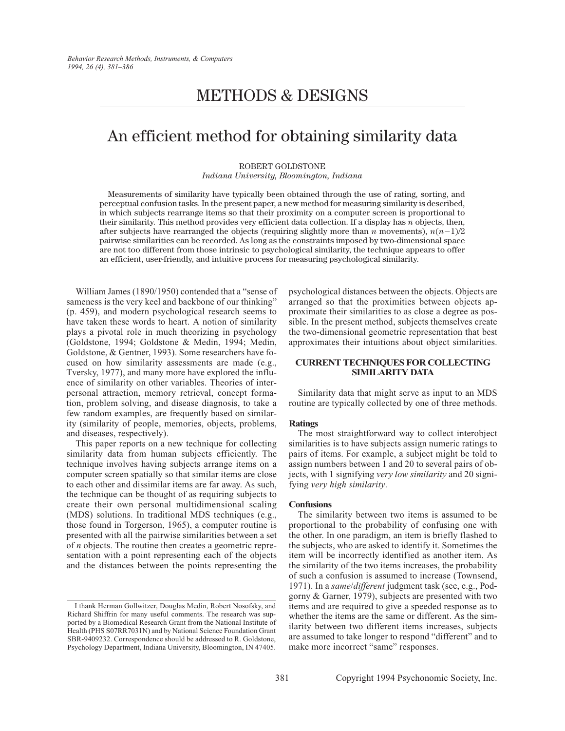# METHODS & DESIGNS

# An efficient method for obtaining similarity data

## ROBERT GOLDSTONE *Indiana University, Bloomington, Indiana*

Measurements of similarity have typically been obtained through the use of rating, sorting, and perceptual confusion tasks. In the present paper, a new method for measuring similarity is described, in which subjects rearrange items so that their proximity on a computer screen is proportional to their similarity. This method provides very efficient data collection. If a display has *n* objects, then, after subjects have rearranged the objects (requiring slightly more than *n* movements),  $n(n-1)/2$ pairwise similarities can be recorded. As long as the constraints imposed by two-dimensional space are not too different from those intrinsic to psychological similarity, the technique appears to offer an efficient, user-friendly, and intuitive process for measuring psychological similarity.

William James (1890/1950) contended that a "sense of sameness is the very keel and backbone of our thinking" (p. 459), and modern psychological research seems to have taken these words to heart. A notion of similarity plays a pivotal role in much theorizing in psychology (Goldstone, 1994; Goldstone & Medin, 1994; Medin, Goldstone, & Gentner, 1993). Some researchers have focused on how similarity assessments are made (e.g., Tversky, 1977), and many more have explored the influence of similarity on other variables. Theories of interpersonal attraction, memory retrieval, concept formation, problem solving, and disease diagnosis, to take a few random examples, are frequently based on similarity (similarity of people, memories, objects, problems, and diseases, respectively).

This paper reports on a new technique for collecting similarity data from human subjects efficiently. The technique involves having subjects arrange items on a computer screen spatially so that similar items are close to each other and dissimilar items are far away. As such, the technique can be thought of as requiring subjects to create their own personal multidimensional scaling (MDS) solutions. In traditional MDS techniques (e.g., those found in Torgerson, 1965), a computer routine is presented with all the pairwise similarities between a set of *n* objects. The routine then creates a geometric representation with a point representing each of the objects and the distances between the points representing the

psychological distances between the objects. Objects are arranged so that the proximities between objects approximate their similarities to as close a degree as possible. In the present method, subjects themselves create the two-dimensional geometric representation that best approximates their intuitions about object similarities.

# **CURRENT TECHNIQUES FOR COLLECTING SIMILARITY DATA**

Similarity data that might serve as input to an MDS routine are typically collected by one of three methods.

## **Ratings**

The most straightforward way to collect interobject similarities is to have subjects assign numeric ratings to pairs of items. For example, a subject might be told to assign numbers between 1 and 20 to several pairs of objects, with 1 signifying *very low similarity* and 20 signifying *very high similarity*.

# **Confusions**

The similarity between two items is assumed to be proportional to the probability of confusing one with the other. In one paradigm, an item is briefly flashed to the subjects, who are asked to identify it. Sometimes the item will be incorrectly identified as another item. As the similarity of the two items increases, the probability of such a confusion is assumed to increase (Townsend, 1971). In a *same*/*different* judgment task (see, e.g., Podgorny & Garner, 1979), subjects are presented with two items and are required to give a speeded response as to whether the items are the same or different. As the similarity between two different items increases, subjects are assumed to take longer to respond "different" and to make more incorrect "same" responses.

I thank Herman Gollwitzer, Douglas Medin, Robert Nosofsky, and Richard Shiffrin for many useful comments. The research was supported by a Biomedical Research Grant from the National Institute of Health (PHS S07RR7031N) and by National Science Foundation Grant SBR-9409232. Correspondence should be addressed to R. Goldstone, Psychology Department, Indiana University, Bloomington, IN 47405.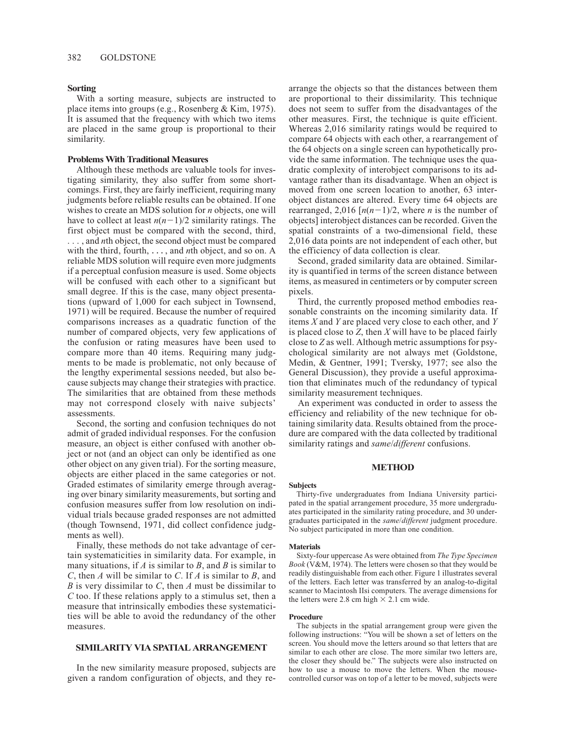## **Sorting**

With a sorting measure, subjects are instructed to place items into groups (e.g., Rosenberg & Kim, 1975). It is assumed that the frequency with which two items are placed in the same group is proportional to their similarity.

## **Problems With Traditional Measures**

Although these methods are valuable tools for investigating similarity, they also suffer from some shortcomings. First, they are fairly inefficient, requiring many judgments before reliable results can be obtained. If one wishes to create an MDS solution for *n* objects, one will have to collect at least  $n(n-1)/2$  similarity ratings. The first object must be compared with the second, third, ..., and *n*th object, the second object must be compared with the third, fourth, ... , and *n*th object, and so on. A reliable MDS solution will require even more judgments if a perceptual confusion measure is used. Some objects will be confused with each other to a significant but small degree. If this is the case, many object presentations (upward of 1,000 for each subject in Townsend, 1971) will be required. Because the number of required comparisons increases as a quadratic function of the number of compared objects, very few applications of the confusion or rating measures have been used to compare more than 40 items. Requiring many judgments to be made is problematic, not only because of the lengthy experimental sessions needed, but also because subjects may change their strategies with practice. The similarities that are obtained from these methods may not correspond closely with naive subjects' assessments.

Second, the sorting and confusion techniques do not admit of graded individual responses. For the confusion measure, an object is either confused with another object or not (and an object can only be identified as one other object on any given trial). For the sorting measure, objects are either placed in the same categories or not. Graded estimates of similarity emerge through averaging over binary similarity measurements, but sorting and confusion measures suffer from low resolution on individual trials because graded responses are not admitted (though Townsend, 1971, did collect confidence judgments as well).

Finally, these methods do not take advantage of certain systematicities in similarity data. For example, in many situations, if *A* is similar to *B*, and *B* is similar to *C*, then *A* will be similar to *C*. If *A* is similar to *B*, and *B* is very dissimilar to *C*, then *A* must be dissimilar to *C* too. If these relations apply to a stimulus set, then a measure that intrinsically embodies these systematicities will be able to avoid the redundancy of the other measures.

## **SIMILARITY VIA SPATIAL ARRANGEMENT**

In the new similarity measure proposed, subjects are given a random configuration of objects, and they rearrange the objects so that the distances between them are proportional to their dissimilarity. This technique does not seem to suffer from the disadvantages of the other measures. First, the technique is quite efficient. Whereas 2,016 similarity ratings would be required to compare 64 objects with each other, a rearrangement of the 64 objects on a single screen can hypothetically provide the same information. The technique uses the quadratic complexity of interobject comparisons to its advantage rather than its disadvantage. When an object is moved from one screen location to another, 63 interobject distances are altered. Every time 64 objects are rearranged, 2,016  $\lceil n(n-1)/2 \rceil$ , where *n* is the number of objects] interobject distances can be recorded. Given the spatial constraints of a two-dimensional field, these 2,016 data points are not independent of each other, but the efficiency of data collection is clear.

Second, graded similarity data are obtained. Similarity is quantified in terms of the screen distance between items, as measured in centimeters or by computer screen pixels.

Third, the currently proposed method embodies reasonable constraints on the incoming similarity data. If items *X* and *Y* are placed very close to each other, and *Y* is placed close to *Z*, then *X* will have to be placed fairly close to *Z* as well. Although metric assumptions for psychological similarity are not always met (Goldstone, Medin, & Gentner, 1991; Tversky, 1977; see also the General Discussion), they provide a useful approximation that eliminates much of the redundancy of typical similarity measurement techniques.

An experiment was conducted in order to assess the efficiency and reliability of the new technique for obtaining similarity data. Results obtained from the procedure are compared with the data collected by traditional similarity ratings and *same*/*different* confusions.

## **METHOD**

#### **Subjects**

Thirty-five undergraduates from Indiana University participated in the spatial arrangement procedure, 35 more undergraduates participated in the similarity rating procedure, and 30 undergraduates participated in the *same*/*different* judgment procedure. No subject participated in more than one condition.

#### **Materials**

Sixty-four uppercase As were obtained from *The Type Specimen Book* (V&M, 1974). The letters were chosen so that they would be readily distinguishable from each other. Figure 1 illustrates several of the letters. Each letter was transferred by an analog-to-digital scanner to Macintosh IIsi computers. The average dimensions for the letters were 2.8 cm high  $\times$  2.1 cm wide.

#### **Procedure**

The subjects in the spatial arrangement group were given the following instructions: "You will be shown a set of letters on the screen. You should move the letters around so that letters that are similar to each other are close. The more similar two letters are, the closer they should be." The subjects were also instructed on how to use a mouse to move the letters. When the mousecontrolled cursor was on top of a letter to be moved, subjects were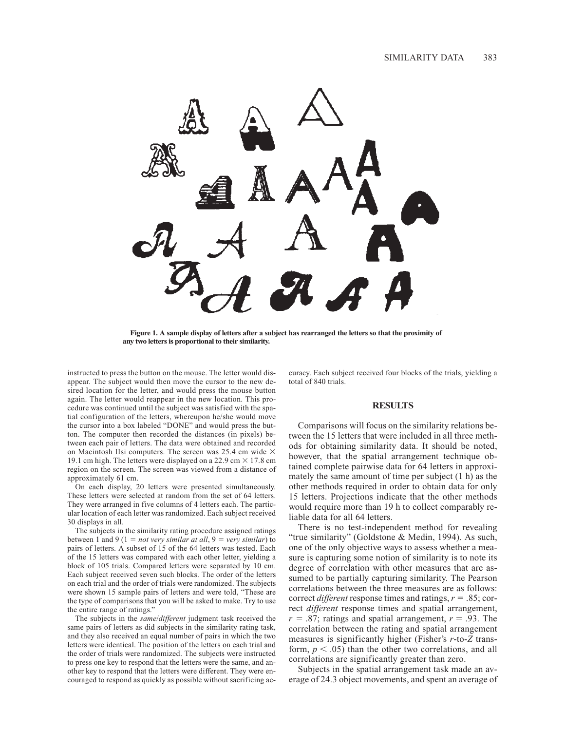

**Figure 1. A sample display of letters after a subject has rearranged the letters so that the proximity of any two letters is proportional to their similarity.**

instructed to press the button on the mouse. The letter would disappear. The subject would then move the cursor to the new desired location for the letter, and would press the mouse button again. The letter would reappear in the new location. This procedure was continued until the subject was satisfied with the spatial configuration of the letters, whereupon he/she would move the cursor into a box labeled "DONE" and would press the button. The computer then recorded the distances (in pixels) between each pair of letters. The data were obtained and recorded on Macintosh IIsi computers. The screen was 25.4 cm wide  $\times$ 19.1 cm high. The letters were displayed on a 22.9 cm  $\times$  17.8 cm region on the screen. The screen was viewed from a distance of approximately 61 cm.

On each display, 20 letters were presented simultaneously. These letters were selected at random from the set of 64 letters. They were arranged in five columns of 4 letters each. The particular location of each letter was randomized. Each subject received 30 displays in all.

The subjects in the similarity rating procedure assigned ratings between 1 and 9 (1 = *not very similar at all*,  $9 = \text{very similar}$ ) to pairs of letters. A subset of 15 of the 64 letters was tested. Each of the 15 letters was compared with each other letter, yielding a block of 105 trials. Compared letters were separated by 10 cm. Each subject received seven such blocks. The order of the letters on each trial and the order of trials were randomized. The subjects were shown 15 sample pairs of letters and were told, "These are the type of comparisons that you will be asked to make. Try to use the entire range of ratings."

The subjects in the *same*/*different* judgment task received the same pairs of letters as did subjects in the similarity rating task, and they also received an equal number of pairs in which the two letters were identical. The position of the letters on each trial and the order of trials were randomized. The subjects were instructed to press one key to respond that the letters were the same, and another key to respond that the letters were different. They were encouraged to respond as quickly as possible without sacrificing accuracy. Each subject received four blocks of the trials, yielding a total of 840 trials.

## **RESULTS**

Comparisons will focus on the similarity relations between the 15 letters that were included in all three methods for obtaining similarity data. It should be noted, however, that the spatial arrangement technique obtained complete pairwise data for 64 letters in approximately the same amount of time per subject (1 h) as the other methods required in order to obtain data for only 15 letters. Projections indicate that the other methods would require more than 19 h to collect comparably reliable data for all 64 letters.

There is no test-independent method for revealing "true similarity" (Goldstone & Medin, 1994). As such, one of the only objective ways to assess whether a measure is capturing some notion of similarity is to note its degree of correlation with other measures that are assumed to be partially capturing similarity. The Pearson correlations between the three measures are as follows: correct *different* response times and ratings,  $r = .85$ ; correct *different* response times and spatial arrangement,  $r = .87$ ; ratings and spatial arrangement,  $r = .93$ . The correlation between the rating and spatial arrangement measures is significantly higher (Fisher's *r*-to-*Z* transform,  $p < .05$ ) than the other two correlations, and all correlations are significantly greater than zero.

Subjects in the spatial arrangement task made an average of 24.3 object movements, and spent an average of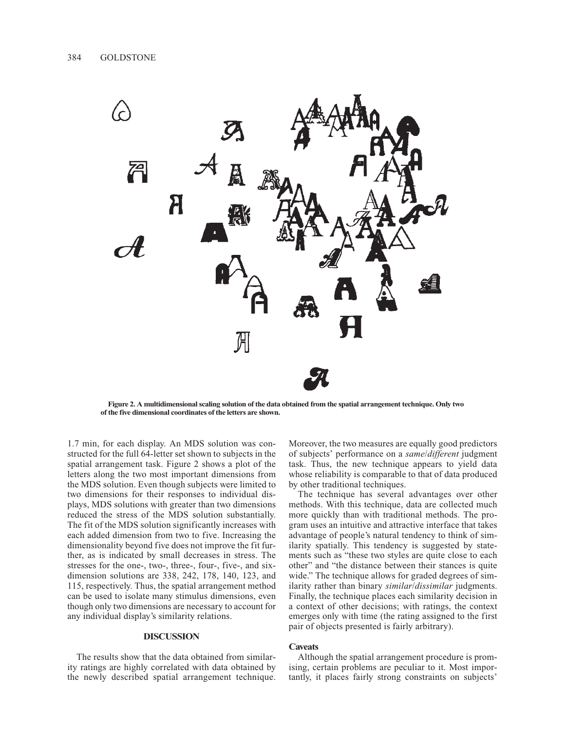

**Figure 2. A multidimensional scaling solution of the data obtained from the spatial arrangement technique. Only two of the five dimensional coordinates of the letters are shown.**

1.7 min, for each display. An MDS solution was constructed for the full 64-letter set shown to subjects in the spatial arrangement task. Figure 2 shows a plot of the letters along the two most important dimensions from the MDS solution. Even though subjects were limited to two dimensions for their responses to individual displays, MDS solutions with greater than two dimensions reduced the stress of the MDS solution substantially. The fit of the MDS solution significantly increases with each added dimension from two to five. Increasing the dimensionality beyond five does not improve the fit further, as is indicated by small decreases in stress. The stresses for the one-, two-, three-, four-, five-, and sixdimension solutions are 338, 242, 178, 140, 123, and 115, respectively. Thus, the spatial arrangement method can be used to isolate many stimulus dimensions, even though only two dimensions are necessary to account for any individual display's similarity relations.

## **DISCUSSION**

The results show that the data obtained from similarity ratings are highly correlated with data obtained by the newly described spatial arrangement technique.

Moreover, the two measures are equally good predictors of subjects' performance on a *same*/*different* judgment task. Thus, the new technique appears to yield data whose reliability is comparable to that of data produced by other traditional techniques.

The technique has several advantages over other methods. With this technique, data are collected much more quickly than with traditional methods. The program uses an intuitive and attractive interface that takes advantage of people's natural tendency to think of similarity spatially. This tendency is suggested by statements such as "these two styles are quite close to each other" and "the distance between their stances is quite wide." The technique allows for graded degrees of similarity rather than binary *similar*/*dissimilar* judgments. Finally, the technique places each similarity decision in a context of other decisions; with ratings, the context emerges only with time (the rating assigned to the first pair of objects presented is fairly arbitrary).

## **Caveats**

Although the spatial arrangement procedure is promising, certain problems are peculiar to it. Most importantly, it places fairly strong constraints on subjects'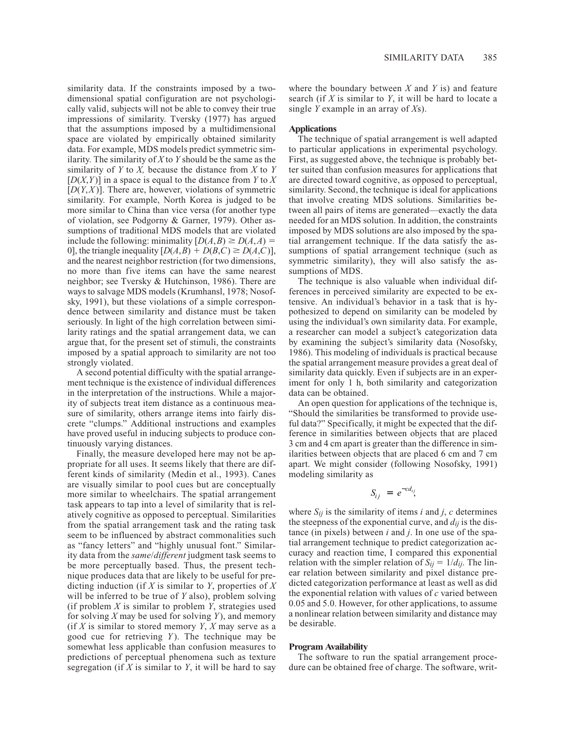similarity data. If the constraints imposed by a twodimensional spatial configuration are not psychologically valid, subjects will not be able to convey their true impressions of similarity. Tversky (1977) has argued that the assumptions imposed by a multidimensional space are violated by empirically obtained similarity data. For example, MDS models predict symmetric similarity. The similarity of *X* to *Y* should be the same as the similarity of *Y* to *X,* because the distance from *X* to *Y*  $[D(X, Y)]$  in a space is equal to the distance from *Y* to *X*  $[D(Y, X)]$ . There are, however, violations of symmetric similarity. For example, North Korea is judged to be more similar to China than vice versa (for another type of violation, see Podgorny & Garner, 1979). Other assumptions of traditional MDS models that are violated include the following: minimality  $[D(A, B) \ge D(A, A)$ 0], the triangle inequality  $[D(A, B) + D(B, C) \ge D(A, C)]$ , and the nearest neighbor restriction (for two dimensions, no more than five items can have the same nearest neighbor; see Tversky & Hutchinson, 1986). There are ways to salvage MDS models (Krumhansl, 1978; Nosofsky, 1991), but these violations of a simple correspondence between similarity and distance must be taken seriously. In light of the high correlation between similarity ratings and the spatial arrangement data, we can argue that, for the present set of stimuli, the constraints imposed by a spatial approach to similarity are not too strongly violated.

A second potential difficulty with the spatial arrangement technique is the existence of individual differences in the interpretation of the instructions. While a majority of subjects treat item distance as a continuous measure of similarity, others arrange items into fairly discrete "clumps." Additional instructions and examples have proved useful in inducing subjects to produce continuously varying distances.

Finally, the measure developed here may not be appropriate for all uses. It seems likely that there are different kinds of similarity (Medin et al., 1993). Canes are visually similar to pool cues but are conceptually more similar to wheelchairs. The spatial arrangement task appears to tap into a level of similarity that is relatively cognitive as opposed to perceptual. Similarities from the spatial arrangement task and the rating task seem to be influenced by abstract commonalities such as "fancy letters" and "highly unusual font." Similarity data from the *same*/*different* judgment task seems to be more perceptually based. Thus, the present technique produces data that are likely to be useful for predicting induction (if *X* is similar to *Y*, properties of *X* will be inferred to be true of *Y* also), problem solving (if problem *X* is similar to problem *Y*, strategies used for solving *X* may be used for solving *Y*), and memory (if *X* is similar to stored memory *Y*, *X* may serve as a good cue for retrieving *Y* ). The technique may be somewhat less applicable than confusion measures to predictions of perceptual phenomena such as texture segregation (if *X* is similar to *Y*, it will be hard to say where the boundary between *X* and *Y* is) and feature search (if *X* is similar to *Y*, it will be hard to locate a single *Y* example in an array of *X*s).

## **Applications**

The technique of spatial arrangement is well adapted to particular applications in experimental psychology. First, as suggested above, the technique is probably better suited than confusion measures for applications that are directed toward cognitive, as opposed to perceptual, similarity. Second, the technique is ideal for applications that involve creating MDS solutions. Similarities between all pairs of items are generated—exactly the data needed for an MDS solution. In addition, the constraints imposed by MDS solutions are also imposed by the spatial arrangement technique. If the data satisfy the assumptions of spatial arrangement technique (such as symmetric similarity), they will also satisfy the assumptions of MDS.

The technique is also valuable when individual differences in perceived similarity are expected to be extensive. An individual's behavior in a task that is hypothesized to depend on similarity can be modeled by using the individual's own similarity data. For example, a researcher can model a subject's categorization data by examining the subject's similarity data (Nosofsky, 1986). This modeling of individuals is practical because the spatial arrangement measure provides a great deal of similarity data quickly. Even if subjects are in an experiment for only 1 h, both similarity and categorization data can be obtained.

An open question for applications of the technique is, "Should the similarities be transformed to provide useful data?" Specifically, it might be expected that the difference in similarities between objects that are placed 3 cm and 4 cm apart is greater than the difference in similarities between objects that are placed 6 cm and 7 cm apart. We might consider (following Nosofsky, 1991) modeling similarity as

$$
S_{ij} = e^{-cd_{ij}},
$$

where  $S_{ij}$  is the similarity of items *i* and *j*, *c* determines the steepness of the exponential curve, and  $d_{ij}$  is the distance (in pixels) between *i* and *j*. In one use of the spatial arrangement technique to predict categorization accuracy and reaction time, I compared this exponential relation with the simpler relation of  $S_{ij} = 1/d_{ij}$ . The linear relation between similarity and pixel distance predicted categorization performance at least as well as did the exponential relation with values of *c* varied between 0.05 and 5.0. However, for other applications, to assume a nonlinear relation between similarity and distance may be desirable.

### **Program Availability**

The software to run the spatial arrangement procedure can be obtained free of charge. The software, writ